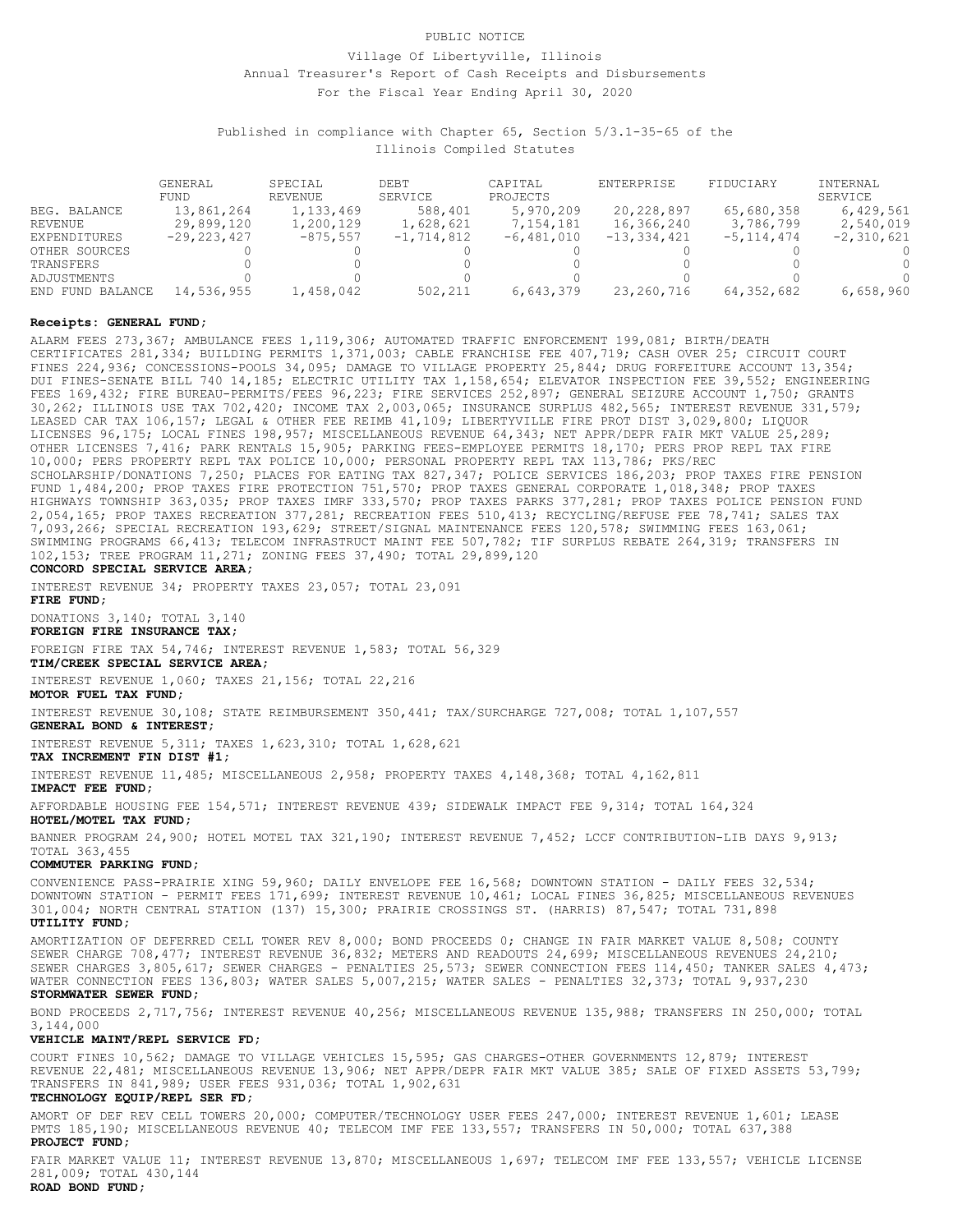# For the Fiscal Year Ending April 30, 2020 Annual Treasurer's Report of Cash Receipts and Disbursements Village Of Libertyville, Illinois PUBLIC NOTICE

Illinois Compiled Statutes Published in compliance with Chapter 65, Section 5/3.1-35-65 of the

|                  | GENERAL.<br>FUND | SPECIAL<br><b>REVENUE</b> | DEBT<br>SERVICE | CAPITAL<br>PROJECTS | ENTERPRISE    | FIDUCIARY      | <b>INTERNAL</b><br>SERVICE |
|------------------|------------------|---------------------------|-----------------|---------------------|---------------|----------------|----------------------------|
| BEG. BALANCE     | 13,861,264       | 1,133,469                 | 588,401         | 5,970,209           | 20,228,897    | 65,680,358     | 6,429,561                  |
| REVENUE          | 29,899,120       | 1,200,129                 | 1,628,621       | 7,154,181           | 16,366,240    | 3,786,799      | 2,540,019                  |
| EXPENDITURES     | $-29, 223, 427$  | $-875, 557$               | $-1,714,812$    | $-6,481,010$        | $-13,334,421$ | $-5, 114, 474$ | $-2,310,621$               |
| OTHER SOURCES    |                  |                           |                 |                     |               |                |                            |
| TRANSFERS        |                  |                           |                 |                     |               |                | 0                          |
| ADJUSTMENTS      |                  |                           |                 |                     |               |                | $\cap$                     |
| END FUND BALANCE | 14,536,955       | 1,458,042                 | 502,211         | 6,643,379           | 23,260,716    | 64,352,682     | 6,658,960                  |

#### **Receipts: GENERAL FUND;**

102,153; TREE PROGRAM 11,271; ZONING FEES 37,490; TOTAL 29,899,120 SWIMMING PROGRAMS 66,413; TELECOM INFRASTRUCT MAINT FEE 507,782; TIF SURPLUS REBATE 264,319; TRANSFERS IN 7,093,266; SPECIAL RECREATION 193,629; STREET/SIGNAL MAINTENANCE FEES 120,578; SWIMMING FEES 163,061; 2,054,165; PROP TAXES RECREATION 377,281; RECREATION FEES 510,413; RECYCLING/REFUSE FEE 78,741; SALES TAX HIGHWAYS TOWNSHIP 363,035; PROP TAXES IMRF 333,570; PROP TAXES PARKS 377,281; PROP TAXES POLICE PENSION FUND FUND 1,484,200; PROP TAXES FIRE PROTECTION 751,570; PROP TAXES GENERAL CORPORATE 1,018,348; PROP TAXES SCHOLARSHIP/DONATIONS 7,250; PLACES FOR EATING TAX 827,347; POLICE SERVICES 186,203; PROP TAXES FIRE PENSION 10,000; PERS PROPERTY REPL TAX POLICE 10,000; PERSONAL PROPERTY REPL TAX 113,786; PKS/REC OTHER LICENSES 7,416; PARK RENTALS 15,905; PARKING FEES-EMPLOYEE PERMITS 18,170; PERS PROP REPL TAX FIRE LICENSES 96,175; LOCAL FINES 198,957; MISCELLANEOUS REVENUE 64,343; NET APPR/DEPR FAIR MKT VALUE 25,289; LEASED CAR TAX 106,157; LEGAL & OTHER FEE REIMB 41,109; LIBERTYVILLE FIRE PROT DIST 3,029,800; LIQUOR 30,262; ILLINOIS USE TAX 702,420; INCOME TAX 2,003,065; INSURANCE SURPLUS 482,565; INTEREST REVENUE 331,579; FEES 169,432; FIRE BUREAU-PERMITS/FEES 96,223; FIRE SERVICES 252,897; GENERAL SEIZURE ACCOUNT 1,750; GRANTS DUI FINES-SENATE BILL 740 14,185; ELECTRIC UTILITY TAX 1,158,654; ELEVATOR INSPECTION FEE 39,552; ENGINEERING FINES 224,936; CONCESSIONS-POOLS 34,095; DAMAGE TO VILLAGE PROPERTY 25,844; DRUG FORFEITURE ACCOUNT 13,354; CERTIFICATES 281,334; BUILDING PERMITS 1,371,003; CABLE FRANCHISE FEE 407,719; CASH OVER 25; CIRCUIT COURT ALARM FEES 273,367; AMBULANCE FEES 1,119,306; AUTOMATED TRAFFIC ENFORCEMENT 199,081; BIRTH/DEATH

#### **CONCORD SPECIAL SERVICE AREA;**

INTEREST REVENUE 34; PROPERTY TAXES 23,057; TOTAL 23,091

**FIRE FUND;**

DONATIONS 3,140; TOTAL 3,140

**FOREIGN FIRE INSURANCE TAX;**

FOREIGN FIRE TAX 54,746; INTEREST REVENUE 1,583; TOTAL 56,329

**TIM/CREEK SPECIAL SERVICE AREA;**

INTEREST REVENUE 1,060; TAXES 21,156; TOTAL 22,216

**MOTOR FUEL TAX FUND;**

INTEREST REVENUE 30,108; STATE REIMBURSEMENT 350,441; TAX/SURCHARGE 727,008; TOTAL 1,107,557

**GENERAL BOND & INTEREST;**

INTEREST REVENUE 5,311; TAXES 1,623,310; TOTAL 1,628,621

# **TAX INCREMENT FIN DIST #1;**

INTEREST REVENUE 11,485; MISCELLANEOUS 2,958; PROPERTY TAXES 4,148,368; TOTAL 4,162,811

### **IMPACT FEE FUND;**

**HOTEL/MOTEL TAX FUND;** AFFORDABLE HOUSING FEE 154,571; INTEREST REVENUE 439; SIDEWALK IMPACT FEE 9,314; TOTAL 164,324

TOTAL 363,455 BANNER PROGRAM 24,900; HOTEL MOTEL TAX 321,190; INTEREST REVENUE 7,452; LCCF CONTRIBUTION-LIB DAYS 9,913;

# **COMMUTER PARKING FUND;**

**UTILITY FUND;** 301,004; NORTH CENTRAL STATION (137) 15,300; PRAIRIE CROSSINGS ST. (HARRIS) 87,547; TOTAL 731,898 DOWNTOWN STATION - PERMIT FEES 171,699; INTEREST REVENUE 10,461; LOCAL FINES 36,825; MISCELLANEOUS REVENUES CONVENIENCE PASS-PRAIRIE XING 59,960; DAILY ENVELOPE FEE 16,568; DOWNTOWN STATION - DAILY FEES 32,534;

**STORMWATER SEWER FUND;** WATER CONNECTION FEES 136,803; WATER SALES 5,007,215; WATER SALES - PENALTIES 32,373; TOTAL 9,937,230 SEWER CHARGES 3,805,617; SEWER CHARGES - PENALTIES 25,573; SEWER CONNECTION FEES 114,450; TANKER SALES 4,473; SEWER CHARGE 708,477; INTEREST REVENUE 36,832; METERS AND READOUTS 24,699; MISCELLANEOUS REVENUES 24,210; AMORTIZATION OF DEFERRED CELL TOWER REV 8,000; BOND PROCEEDS 0; CHANGE IN FAIR MARKET VALUE 8,508; COUNTY

3,144,000 BOND PROCEEDS 2,717,756; INTEREST REVENUE 40,256; MISCELLANEOUS REVENUE 135,988; TRANSFERS IN 250,000; TOTAL

### **VEHICLE MAINT/REPL SERVICE FD;**

TRANSFERS IN 841,989; USER FEES 931,036; TOTAL 1,902,631 REVENUE 22,481; MISCELLANEOUS REVENUE 13,906; NET APPR/DEPR FAIR MKT VALUE 385; SALE OF FIXED ASSETS 53,799; COURT FINES 10,562; DAMAGE TO VILLAGE VEHICLES 15,595; GAS CHARGES-OTHER GOVERNMENTS 12,879; INTEREST

# **TECHNOLOGY EQUIP/REPL SER FD;**

**PROJECT FUND;** PMTS 185,190; MISCELLANEOUS REVENUE 40; TELECOM IMF FEE 133,557; TRANSFERS IN 50,000; TOTAL 637,388 AMORT OF DEF REV CELL TOWERS 20,000; COMPUTER/TECHNOLOGY USER FEES 247,000; INTEREST REVENUE 1,601; LEASE

281,009; TOTAL 430,144 FAIR MARKET VALUE 11; INTEREST REVENUE 13,870; MISCELLANEOUS 1,697; TELECOM IMF FEE 133,557; VEHICLE LICENSE

#### **ROAD BOND FUND;**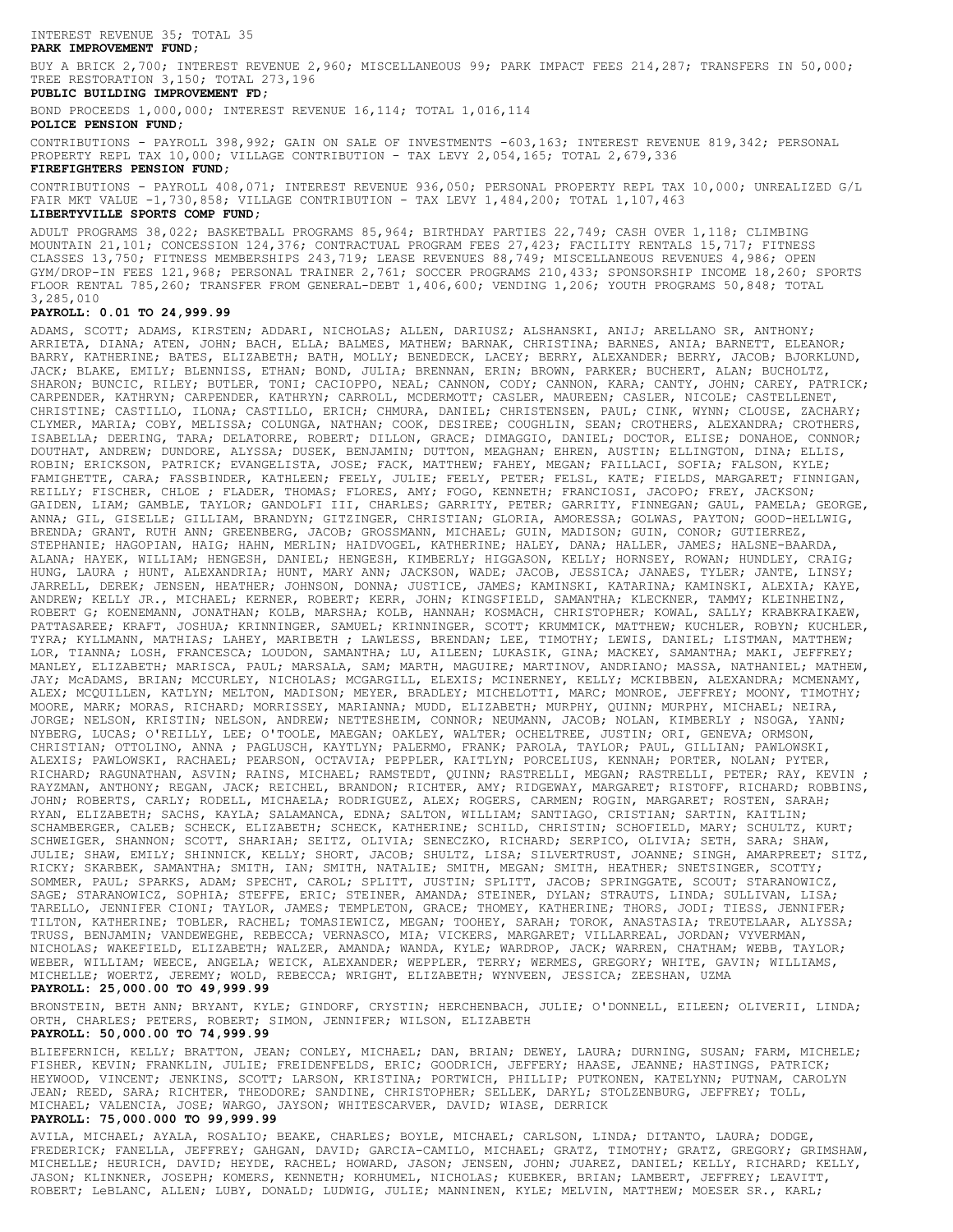# INTEREST REVENUE 35; TOTAL 35

# **PARK IMPROVEMENT FUND;**

TREE RESTORATION 3,150; TOTAL 273,196 BUY A BRICK 2,700; INTEREST REVENUE 2,960; MISCELLANEOUS 99; PARK IMPACT FEES 214,287; TRANSFERS IN 50,000;

#### **PUBLIC BUILDING IMPROVEMENT FD;**

BOND PROCEEDS 1,000,000; INTEREST REVENUE 16,114; TOTAL 1,016,114

## **POLICE PENSION FUND;**

PROPERTY REPL TAX 10,000; VILLAGE CONTRIBUTION - TAX LEVY 2,054,165; TOTAL 2,679,336 CONTRIBUTIONS - PAYROLL 398,992; GAIN ON SALE OF INVESTMENTS -603,163; INTEREST REVENUE 819,342; PERSONAL

# **FIREFIGHTERS PENSION FUND;**

FAIR MKT VALUE -1,730,858; VILLAGE CONTRIBUTION - TAX LEVY 1,484,200; TOTAL 1,107,463 CONTRIBUTIONS - PAYROLL 408,071; INTEREST REVENUE 936,050; PERSONAL PROPERTY REPL TAX 10,000; UNREALIZED G/L

# **LIBERTYVILLE SPORTS COMP FUND;**

3,285,010 FLOOR RENTAL 785,260; TRANSFER FROM GENERAL-DEBT 1,406,600; VENDING 1,206; YOUTH PROGRAMS 50,848; TOTAL GYM/DROP-IN FEES 121,968; PERSONAL TRAINER 2,761; SOCCER PROGRAMS 210,433; SPONSORSHIP INCOME 18,260; SPORTS CLASSES 13,750; FITNESS MEMBERSHIPS 243,719; LEASE REVENUES 88,749; MISCELLANEOUS REVENUES 4,986; OPEN MOUNTAIN 21,101; CONCESSION 124,376; CONTRACTUAL PROGRAM FEES 27,423; FACILITY RENTALS 15,717; FITNESS ADULT PROGRAMS 38,022; BASKETBALL PROGRAMS 85,964; BIRTHDAY PARTIES 22,749; CASH OVER 1,118; CLIMBING

#### **PAYROLL: 0.01 TO 24,999.99**

MICHELLE; WOERTZ, JEREMY; WOLD, REBECCA; WRIGHT, ELIZABETH; WYNVEEN, JESSICA; ZEESHAN, UZMA WEBER, WILLIAM; WEECE, ANGELA; WEICK, ALEXANDER; WEPPLER, TERRY; WERMES, GREGORY; WHITE, GAVIN; WILLIAMS, NICHOLAS; WAKEFIELD, ELIZABETH; WALZER, AMANDA; WANDA, KYLE; WARDROP, JACK; WARREN, CHATHAM; WEBB, TAYLOR; TRUSS, BENJAMIN; VANDEWEGHE, REBECCA; VERNASCO, MIA; VICKERS, MARGARET; VILLARREAL, JORDAN; VYVERMAN, TILTON, KATHERINE; TOBLER, RACHEL; TOMASIEWICZ, MEGAN; TOOHEY, SARAH; TOROK, ANASTASIA; TREUTELAAR, ALYSSA; TARELLO, JENNIFER CIONI; TAYLOR, JAMES; TEMPLETON, GRACE; THOMEY, KATHERINE; THORS, JODI; TIESS, JENNIFER; SAGE; STARANOWICZ, SOPHIA; STEFFE, ERIC; STEINER, AMANDA; STEINER, DYLAN; STRAUTS, LINDA; SULLIVAN, LISA; SOMMER, PAUL; SPARKS, ADAM; SPECHT, CAROL; SPLITT, JUSTIN; SPLITT, JACOB; SPRINGGATE, SCOUT; STARANOWICZ, RICKY; SKARBEK, SAMANTHA; SMITH, IAN; SMITH, NATALIE; SMITH, MEGAN; SMITH, HEATHER; SNETSINGER, SCOTTY; JULIE; SHAW, EMILY; SHINNICK, KELLY; SHORT, JACOB; SHULTZ, LISA; SILVERTRUST, JOANNE; SINGH, AMARPREET; SITZ, SCHWEIGER, SHANNON; SCOTT, SHARIAH; SEITZ, OLIVIA; SENECZKO, RICHARD; SERPICO, OLIVIA; SETH, SARA; SHAW, SCHAMBERGER, CALEB; SCHECK, ELIZABETH; SCHECK, KATHERINE; SCHILD, CHRISTIN; SCHOFIELD, MARY; SCHULTZ, KURT; RYAN, ELIZABETH; SACHS, KAYLA; SALAMANCA, EDNA; SALTON, WILLIAM; SANTIAGO, CRISTIAN; SARTIN, KAITLIN; JOHN; ROBERTS, CARLY; RODELL, MICHAELA; RODRIGUEZ, ALEX; ROGERS, CARMEN; ROGIN, MARGARET; ROSTEN, SARAH; RAYZMAN, ANTHONY; REGAN, JACK; REICHEL, BRANDON; RICHTER, AMY; RIDGEWAY, MARGARET; RISTOFF, RICHARD; ROBBINS, RICHARD; RAGUNATHAN, ASVIN; RAINS, MICHAEL; RAMSTEDT, QUINN; RASTRELLI, MEGAN; RASTRELLI, PETER; RAY, KEVIN ; ALEXIS; PAWLOWSKI, RACHAEL; PEARSON, OCTAVIA; PEPPLER, KAITLYN; PORCELIUS, KENNAH; PORTER, NOLAN; PYTER, CHRISTIAN; OTTOLINO, ANNA ; PAGLUSCH, KAYTLYN; PALERMO, FRANK; PAROLA, TAYLOR; PAUL, GILLIAN; PAWLOWSKI, NYBERG, LUCAS; O'REILLY, LEE; O'TOOLE, MAEGAN; OAKLEY, WALTER; OCHELTREE, JUSTIN; ORI, GENEVA; ORMSON, JORGE; NELSON, KRISTIN; NELSON, ANDREW; NETTESHEIM, CONNOR; NEUMANN, JACOB; NOLAN, KIMBERLY ; NSOGA, YANN; MOORE, MARK; MORAS, RICHARD; MORRISSEY, MARIANNA; MUDD, ELIZABETH; MURPHY, QUINN; MURPHY, MICHAEL; NEIRA, ALEX; MCQUILLEN, KATLYN; MELTON, MADISON; MEYER, BRADLEY; MICHELOTTI, MARC; MONROE, JEFFREY; MOONY, TIMOTHY; JAY; McADAMS, BRIAN; MCCURLEY, NICHOLAS; MCGARGILL, ELEXIS; MCINERNEY, KELLY; MCKIBBEN, ALEXANDRA; MCMENAMY, MANLEY, ELIZABETH; MARISCA, PAUL; MARSALA, SAM; MARTH, MAGUIRE; MARTINOV, ANDRIANO; MASSA, NATHANIEL; MATHEW, LOR, TIANNA; LOSH, FRANCESCA; LOUDON, SAMANTHA; LU, AILEEN; LUKASIK, GINA; MACKEY, SAMANTHA; MAKI, JEFFREY; TYRA; KYLLMANN, MATHIAS; LAHEY, MARIBETH ; LAWLESS, BRENDAN; LEE, TIMOTHY; LEWIS, DANIEL; LISTMAN, MATTHEW; PATTASAREE; KRAFT, JOSHUA; KRINNINGER, SAMUEL; KRINNINGER, SCOTT; KRUMMICK, MATTHEW; KUCHLER, ROBYN; KUCHLER, ROBERT G; KOENEMANN, JONATHAN; KOLB, MARSHA; KOLB, HANNAH; KOSMACH, CHRISTOPHER; KOWAL, SALLY; KRABKRAIKAEW, ANDREW; KELLY JR., MICHAEL; KERNER, ROBERT; KERR, JOHN; KINGSFIELD, SAMANTHA; KLECKNER, TAMMY; KLEINHEINZ, JARRELL, DEREK; JENSEN, HEATHER; JOHNSON, DONNA; JUSTICE, JAMES; KAMINSKI, KATARINA; KAMINSKI, ALEXIA; KAYE, HUNG, LAURA ; HUNT, ALEXANDRIA; HUNT, MARY ANN; JACKSON, WADE; JACOB, JESSICA; JANAES, TYLER; JANTE, LINSY; ALANA; HAYEK, WILLIAM; HENGESH, DANIEL; HENGESH, KIMBERLY; HIGGASON, KELLY; HORNSEY, ROWAN; HUNDLEY, CRAIG; STEPHANIE; HAGOPIAN, HAIG; HAHN, MERLIN; HAIDVOGEL, KATHERINE; HALEY, DANA; HALLER, JAMES; HALSNE-BAARDA, BRENDA; GRANT, RUTH ANN; GREENBERG, JACOB; GROSSMANN, MICHAEL; GUIN, MADISON; GUIN, CONOR; GUTIERREZ, ANNA; GIL, GISELLE; GILLIAM, BRANDYN; GITZINGER, CHRISTIAN; GLORIA, AMORESSA; GOLWAS, PAYTON; GOOD-HELLWIG, GAIDEN, LIAM; GAMBLE, TAYLOR; GANDOLFI III, CHARLES; GARRITY, PETER; GARRITY, FINNEGAN; GAUL, PAMELA; GEORGE, REILLY; FISCHER, CHLOE ; FLADER, THOMAS; FLORES, AMY; FOGO, KENNETH; FRANCIOSI, JACOPO; FREY, JACKSON; FAMIGHETTE, CARA; FASSBINDER, KATHLEEN; FEELY, JULIE; FEELY, PETER; FELSL, KATE; FIELDS, MARGARET; FINNIGAN, ROBIN; ERICKSON, PATRICK; EVANGELISTA, JOSE; FACK, MATTHEW; FAHEY, MEGAN; FAILLACI, SOFIA; FALSON, KYLE; DOUTHAT, ANDREW; DUNDORE, ALYSSA; DUSEK, BENJAMIN; DUTTON, MEAGHAN; EHREN, AUSTIN; ELLINGTON, DINA; ELLIS, ISABELLA; DEERING, TARA; DELATORRE, ROBERT; DILLON, GRACE; DIMAGGIO, DANIEL; DOCTOR, ELISE; DONAHOE, CONNOR; CLYMER, MARIA; COBY, MELISSA; COLUNGA, NATHAN; COOK, DESIREE; COUGHLIN, SEAN; CROTHERS, ALEXANDRA; CROTHERS, CHRISTINE; CASTILLO, ILONA; CASTILLO, ERICH; CHMURA, DANIEL; CHRISTENSEN, PAUL; CINK, WYNN; CLOUSE, ZACHARY; CARPENDER, KATHRYN; CARPENDER, KATHRYN; CARROLL, MCDERMOTT; CASLER, MAUREEN; CASLER, NICOLE; CASTELLENET, SHARON; BUNCIC, RILEY; BUTLER, TONI; CACIOPPO, NEAL; CANNON, CODY; CANNON, KARA; CANTY, JOHN; CAREY, PATRICK; JACK; BLAKE, EMILY; BLENNISS, ETHAN; BOND, JULIA; BRENNAN, ERIN; BROWN, PARKER; BUCHERT, ALAN; BUCHOLTZ, BARRY, KATHERINE; BATES, ELIZABETH; BATH, MOLLY; BENEDECK, LACEY; BERRY, ALEXANDER; BERRY, JACOB; BJORKLUND, ARRIETA, DIANA; ATEN, JOHN; BACH, ELLA; BALMES, MATHEW; BARNAK, CHRISTINA; BARNES, ANIA; BARNETT, ELEANOR; ADAMS, SCOTT; ADAMS, KIRSTEN; ADDARI, NICHOLAS; ALLEN, DARIUSZ; ALSHANSKI, ANIJ; ARELLANO SR, ANTHONY;

#### **PAYROLL: 25,000.00 TO 49,999.99**

ORTH, CHARLES; PETERS, ROBERT; SIMON, JENNIFER; WILSON, ELIZABETH BRONSTEIN, BETH ANN; BRYANT, KYLE; GINDORF, CRYSTIN; HERCHENBACH, JULIE; O'DONNELL, EILEEN; OLIVERII, LINDA;

**PAYROLL: 50,000.00 TO 74,999.99**

MICHAEL; VALENCIA, JOSE; WARGO, JAYSON; WHITESCARVER, DAVID; WIASE, DERRICK JEAN; REED, SARA; RICHTER, THEODORE; SANDINE, CHRISTOPHER; SELLEK, DARYL; STOLZENBURG, JEFFREY; TOLL, HEYWOOD, VINCENT; JENKINS, SCOTT; LARSON, KRISTINA; PORTWICH, PHILLIP; PUTKONEN, KATELYNN; PUTNAM, CAROLYN FISHER, KEVIN; FRANKLIN, JULIE; FREIDENFELDS, ERIC; GOODRICH, JEFFERY; HAASE, JEANNE; HASTINGS, PATRICK; BLIEFERNICH, KELLY; BRATTON, JEAN; CONLEY, MICHAEL; DAN, BRIAN; DEWEY, LAURA; DURNING, SUSAN; FARM, MICHELE;

## **PAYROLL: 75,000.000 TO 99,999.99**

ROBERT; LeBLANC, ALLEN; LUBY, DONALD; LUDWIG, JULIE; MANNINEN, KYLE; MELVIN, MATTHEW; MOESER SR., KARL; JASON; KLINKNER, JOSEPH; KOMERS, KENNETH; KORHUMEL, NICHOLAS; KUEBKER, BRIAN; LAMBERT, JEFFREY; LEAVITT, MICHELLE; HEURICH, DAVID; HEYDE, RACHEL; HOWARD, JASON; JENSEN, JOHN; JUAREZ, DANIEL; KELLY, RICHARD; KELLY, FREDERICK; FANELLA, JEFFREY; GAHGAN, DAVID; GARCIA-CAMILO, MICHAEL; GRATZ, TIMOTHY; GRATZ, GREGORY; GRIMSHAW, AVILA, MICHAEL; AYALA, ROSALIO; BEAKE, CHARLES; BOYLE, MICHAEL; CARLSON, LINDA; DITANTO, LAURA; DODGE,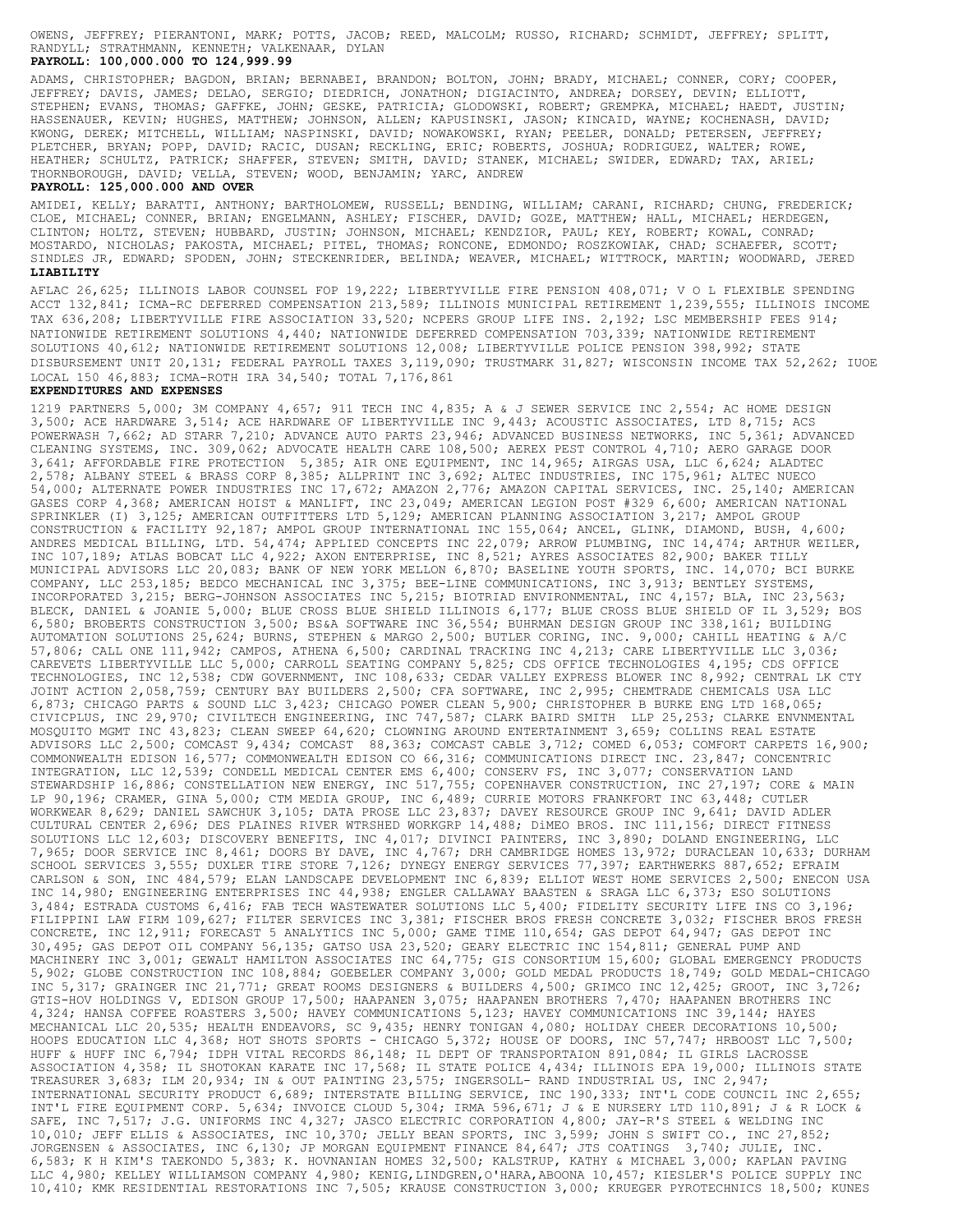RANDYLL; STRATHMANN, KENNETH; VALKENAAR, DYLAN OWENS, JEFFREY; PIERANTONI, MARK; POTTS, JACOB; REED, MALCOLM; RUSSO, RICHARD; SCHMIDT, JEFFREY; SPLITT,

# **PAYROLL: 100,000.000 TO 124,999.99**

THORNBOROUGH, DAVID; VELLA, STEVEN; WOOD, BENJAMIN; YARC, ANDREW HEATHER; SCHULTZ, PATRICK; SHAFFER, STEVEN; SMITH, DAVID; STANEK, MICHAEL; SWIDER, EDWARD; TAX, ARIEL; PLETCHER, BRYAN; POPP, DAVID; RACIC, DUSAN; RECKLING, ERIC; ROBERTS, JOSHUA; RODRIGUEZ, WALTER; ROWE, KWONG, DEREK; MITCHELL, WILLIAM; NASPINSKI, DAVID; NOWAKOWSKI, RYAN; PEELER, DONALD; PETERSEN, JEFFREY; HASSENAUER, KEVIN; HUGHES, MATTHEW; JOHNSON, ALLEN; KAPUSINSKI, JASON; KINCAID, WAYNE; KOCHENASH, DAVID; STEPHEN; EVANS, THOMAS; GAFFKE, JOHN; GESKE, PATRICIA; GLODOWSKI, ROBERT; GREMPKA, MICHAEL; HAEDT, JUSTIN; JEFFREY; DAVIS, JAMES; DELAO, SERGIO; DIEDRICH, JONATHON; DIGIACINTO, ANDREA; DORSEY, DEVIN; ELLIOTT, ADAMS, CHRISTOPHER; BAGDON, BRIAN; BERNABEI, BRANDON; BOLTON, JOHN; BRADY, MICHAEL; CONNER, CORY; COOPER,

#### **PAYROLL: 125,000.000 AND OVER**

**LIABILITY** SINDLES JR, EDWARD; SPODEN, JOHN; STECKENRIDER, BELINDA; WEAVER, MICHAEL; WITTROCK, MARTIN; WOODWARD, JERED MOSTARDO, NICHOLAS; PAKOSTA, MICHAEL; PITEL, THOMAS; RONCONE, EDMONDO; ROSZKOWIAK, CHAD; SCHAEFER, SCOTT; CLINTON; HOLTZ, STEVEN; HUBBARD, JUSTIN; JOHNSON, MICHAEL; KENDZIOR, PAUL; KEY, ROBERT; KOWAL, CONRAD; CLOE, MICHAEL; CONNER, BRIAN; ENGELMANN, ASHLEY; FISCHER, DAVID; GOZE, MATTHEW; HALL, MICHAEL; HERDEGEN, AMIDEI, KELLY; BARATTI, ANTHONY; BARTHOLOMEW, RUSSELL; BENDING, WILLIAM; CARANI, RICHARD; CHUNG, FREDERICK;

## AFLAC 26,625; ILLINOIS LABOR COUNSEL FOP 19,222; LIBERTYVILLE FIRE PENSION 408,071; V O L FLEXIBLE SPENDING ACCT 132,841; ICMA-RC DEFERRED COMPENSATION 213,589; ILLINOIS MUNICIPAL RETIREMENT 1,239,555; ILLINOIS INCOME TAX 636,208; LIBERTYVILLE FIRE ASSOCIATION 33,520; NCPERS GROUP LIFE INS. 2,192; LSC MEMBERSHIP FEES 914; NATIONWIDE RETIREMENT SOLUTIONS 4,440; NATIONWIDE DEFERRED COMPENSATION 703,339; NATIONWIDE RETIREMENT SOLUTIONS 40,612; NATIONWIDE RETIREMENT SOLUTIONS 12,008; LIBERTYVILLE POLICE PENSION 398,992; STATE DISBURSEMENT UNIT 20,131; FEDERAL PAYROLL TAXES 3,119,090; TRUSTMARK 31,827; WISCONSIN INCOME TAX 52,262; IUOE LOCAL 150 46,883; ICMA-ROTH IRA 34,540; TOTAL 7,176,861

## **EXPENDITURES AND EXPENSES**

10,410; KMK RESIDENTIAL RESTORATIONS INC 7,505; KRAUSE CONSTRUCTION 3,000; KRUEGER PYROTECHNICS 18,500; KUNES LLC 4,980; KELLEY WILLIAMSON COMPANY 4,980; KENIG,LINDGREN,O'HARA,ABOONA 10,457; KIESLER'S POLICE SUPPLY INC 6,583; K H KIM'S TAEKONDO 5,383; K. HOVNANIAN HOMES 32,500; KALSTRUP, KATHY & MICHAEL 3,000; KAPLAN PAVING JORGENSEN & ASSOCIATES, INC 6,130; JP MORGAN EQUIPMENT FINANCE 84,647; JTS COATINGS 3,740; JULIE, INC. 10,010; JEFF ELLIS & ASSOCIATES, INC 10,370; JELLY BEAN SPORTS, INC 3,599; JOHN S SWIFT CO., INC 27,852; SAFE, INC 7,517; J.G. UNIFORMS INC 4,327; JASCO ELECTRIC CORPORATION 4,800; JAY-R'S STEEL & WELDING INC INT'L FIRE EQUIPMENT CORP. 5,634; INVOICE CLOUD 5,304; IRMA 596,671; J & E NURSERY LTD 110,891; J & R LOCK & INTERNATIONAL SECURITY PRODUCT 6,689; INTERSTATE BILLING SERVICE, INC 190,333; INT'L CODE COUNCIL INC 2,655; TREASURER 3,683; ILM 20,934; IN & OUT PAINTING 23,575; INGERSOLL- RAND INDUSTRIAL US, INC 2,947; ASSOCIATION 4,358; IL SHOTOKAN KARATE INC 17,568; IL STATE POLICE 4,434; ILLINOIS EPA 19,000; ILLINOIS STATE HUFF & HUFF INC 6,794; IDPH VITAL RECORDS 86,148; IL DEPT OF TRANSPORTAION 891,084; IL GIRLS LACROSSE HOOPS EDUCATION LLC 4,368; HOT SHOTS SPORTS - CHICAGO 5,372; HOUSE OF DOORS, INC 57,747; HRBOOST LLC 7,500; MECHANICAL LLC 20,535; HEALTH ENDEAVORS, SC 9,435; HENRY TONIGAN 4,080; HOLIDAY CHEER DECORATIONS 10,500; 4,324; HANSA COFFEE ROASTERS 3,500; HAVEY COMMUNICATIONS 5,123; HAVEY COMMUNICATIONS INC 39,144; HAYES GTIS-HOV HOLDINGS V, EDISON GROUP 17,500; HAAPANEN 3,075; HAAPANEN BROTHERS 7,470; HAAPANEN BROTHERS INC INC 5,317; GRAINGER INC 21,771; GREAT ROOMS DESIGNERS & BUILDERS 4,500; GRIMCO INC 12,425; GROOT, INC 3,726; 5,902; GLOBE CONSTRUCTION INC 108,884; GOEBELER COMPANY 3,000; GOLD MEDAL PRODUCTS 18,749; GOLD MEDAL-CHICAGO MACHINERY INC 3,001; GEWALT HAMILTON ASSOCIATES INC 64,775; GIS CONSORTIUM 15,600; GLOBAL EMERGENCY PRODUCTS 30,495; GAS DEPOT OIL COMPANY 56,135; GATSO USA 23,520; GEARY ELECTRIC INC 154,811; GENERAL PUMP AND CONCRETE, INC 12,911; FORECAST 5 ANALYTICS INC 5,000; GAME TIME 110,654; GAS DEPOT 64,947; GAS DEPOT INC FILIPPINI LAW FIRM 109,627; FILTER SERVICES INC 3,381; FISCHER BROS FRESH CONCRETE 3,032; FISCHER BROS FRESH 3,484; ESTRADA CUSTOMS 6,416; FAB TECH WASTEWATER SOLUTIONS LLC 5,400; FIDELITY SECURITY LIFE INS CO 3,196; INC 14,980; ENGINEERING ENTERPRISES INC 44,938; ENGLER CALLAWAY BAASTEN & SRAGA LLC 6,373; ESO SOLUTIONS CARLSON & SON, INC 484,579; ELAN LANDSCAPE DEVELOPMENT INC 6,839; ELLIOT WEST HOME SERVICES 2,500; ENECON USA SCHOOL SERVICES 3,555; DUXLER TIRE STORE 7,126; DYNEGY ENERGY SERVICES 77,397; EARTHWERKS 887,652; EFRAIM 7,965; DOOR SERVICE INC 8,461; DOORS BY DAVE, INC 4,767; DRH CAMBRIDGE HOMES 13,972; DURACLEAN 10,633; DURHAM SOLUTIONS LLC 12,603; DISCOVERY BENEFITS, INC 4,017; DIVINCI PAINTERS, INC 3,890; DOLAND ENGINEERING, LLC CULTURAL CENTER 2,696; DES PLAINES RIVER WTRSHED WORKGRP 14,488; DiMEO BROS. INC 111,156; DIRECT FITNESS WORKWEAR 8,629; DANIEL SAWCHUK 3,105; DATA PROSE LLC 23,837; DAVEY RESOURCE GROUP INC 9,641; DAVID ADLER LP 90,196; CRAMER, GINA 5,000; CTM MEDIA GROUP, INC 6,489; CURRIE MOTORS FRANKFORT INC 63,448; CUTLER STEWARDSHIP 16,886; CONSTELLATION NEW ENERGY, INC 517,755; COPENHAVER CONSTRUCTION, INC 27,197; CORE & MAIN INTEGRATION, LLC 12,539; CONDELL MEDICAL CENTER EMS 6,400; CONSERV FS, INC 3,077; CONSERVATION LAND COMMONWEALTH EDISON 16,577; COMMONWEALTH EDISON CO 66,316; COMMUNICATIONS DIRECT INC. 23,847; CONCENTRIC ADVISORS LLC 2,500; COMCAST 9,434; COMCAST 88,363; COMCAST CABLE 3,712; COMED 6,053; COMFORT CARPETS 16,900; MOSQUITO MGMT INC 43,823; CLEAN SWEEP 64,620; CLOWNING AROUND ENTERTAINMENT 3,659; COLLINS REAL ESTATE CIVICPLUS, INC 29,970; CIVILTECH ENGINEERING, INC 747,587; CLARK BAIRD SMITH LLP 25,253; CLARKE ENVNMENTAL 6,873; CHICAGO PARTS & SOUND LLC 3,423; CHICAGO POWER CLEAN 5,900; CHRISTOPHER B BURKE ENG LTD 168,065; JOINT ACTION 2,058,759; CENTURY BAY BUILDERS 2,500; CFA SOFTWARE, INC 2,995; CHEMTRADE CHEMICALS USA LLC TECHNOLOGIES, INC 12,538; CDW GOVERNMENT, INC 108,633; CEDAR VALLEY EXPRESS BLOWER INC 8,992; CENTRAL LK CTY CAREVETS LIBERTYVILLE LLC 5,000; CARROLL SEATING COMPANY 5,825; CDS OFFICE TECHNOLOGIES 4,195; CDS OFFICE 57,806; CALL ONE 111,942; CAMPOS, ATHENA 6,500; CARDINAL TRACKING INC 4,213; CARE LIBERTYVILLE LLC 3,036; AUTOMATION SOLUTIONS 25,624; BURNS, STEPHEN & MARGO 2,500; BUTLER CORING, INC. 9,000; CAHILL HEATING & A/C 6,580; BROBERTS CONSTRUCTION 3,500; BS&A SOFTWARE INC 36,554; BUHRMAN DESIGN GROUP INC 338,161; BUILDING BLECK, DANIEL & JOANIE 5,000; BLUE CROSS BLUE SHIELD ILLINOIS 6,177; BLUE CROSS BLUE SHIELD OF IL 3,529; BOS INCORPORATED 3,215; BERG-JOHNSON ASSOCIATES INC 5,215; BIOTRIAD ENVIRONMENTAL, INC 4,157; BLA, INC 23,563; COMPANY, LLC 253,185; BEDCO MECHANICAL INC 3,375; BEE-LINE COMMUNICATIONS, INC 3,913; BENTLEY SYSTEMS, MUNICIPAL ADVISORS LLC 20,083; BANK OF NEW YORK MELLON 6,870; BASELINE YOUTH SPORTS, INC. 14,070; BCI BURKE INC 107,189; ATLAS BOBCAT LLC 4,922; AXON ENTERPRISE, INC 8,521; AYRES ASSOCIATES 82,900; BAKER TILLY ANDRES MEDICAL BILLING, LTD. 54,474; APPLIED CONCEPTS INC 22,079; ARROW PLUMBING, INC 14,474; ARTHUR WEILER, CONSTRUCTION & FACILITY 92,187; AMPOL GROUP INTERNATIONAL INC 155,064; ANCEL, GLINK, DIAMOND, BUSH, 4,600; SPRINKLER (I) 3,125; AMERICAN OUTFITTERS LTD 5,129; AMERICAN PLANNING ASSOCIATION 3,217; AMPOL GROUP GASES CORP 4,368; AMERICAN HOIST & MANLIFT, INC 23,049; AMERICAN LEGION POST #329 6,600; AMERICAN NATIONAL 54,000; ALTERNATE POWER INDUSTRIES INC 17,672; AMAZON 2,776; AMAZON CAPITAL SERVICES, INC. 25,140; AMERICAN 2,578; ALBANY STEEL & BRASS CORP 8,385; ALLPRINT INC 3,692; ALTEC INDUSTRIES, INC 175,961; ALTEC NUECO 3,641; AFFORDABLE FIRE PROTECTION 5,385; AIR ONE EQUIPMENT, INC 14,965; AIRGAS USA, LLC 6,624; ALADTEC CLEANING SYSTEMS, INC. 309,062; ADVOCATE HEALTH CARE 108,500; AEREX PEST CONTROL 4,710; AERO GARAGE DOOR POWERWASH 7,662; AD STARR 7,210; ADVANCE AUTO PARTS 23,946; ADVANCED BUSINESS NETWORKS, INC 5,361; ADVANCED 3,500; ACE HARDWARE 3,514; ACE HARDWARE OF LIBERTYVILLE INC 9,443; ACOUSTIC ASSOCIATES, LTD 8,715; ACS 1219 PARTNERS 5,000; 3M COMPANY 4,657; 911 TECH INC 4,835; A & J SEWER SERVICE INC 2,554; AC HOME DESIGN